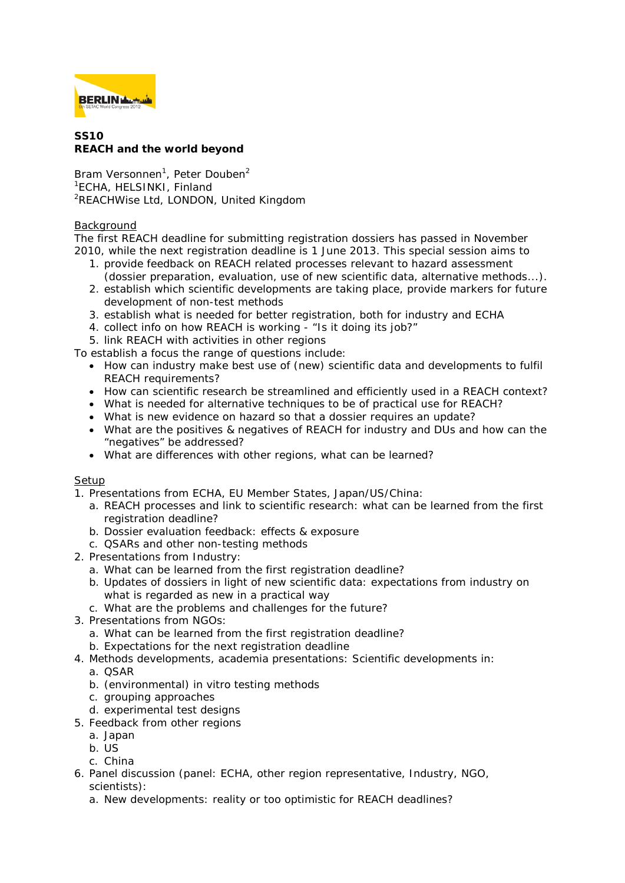

## **SS10 REACH and the world beyond**

Bram Versonnen<sup>1</sup>, Peter Douben<sup>2</sup> 1 ECHA, HELSINKI, Finland <sup>2</sup>REACHWise Ltd, LONDON, United Kingdom

## Background

The first REACH deadline for submitting registration dossiers has passed in November 2010, while the next registration deadline is 1 June 2013. This special session aims to

- 1. provide feedback on REACH related processes relevant to hazard assessment (dossier preparation, evaluation, use of new scientific data, alternative methods...).
- 2. establish which scientific developments are taking place, provide markers for future development of non-test methods
- 3. establish what is needed for better registration, both for industry and ECHA
- 4. collect info on how REACH is working "Is it doing its job?"
- 5. link REACH with activities in other regions

To establish a focus the range of questions include:

- How can industry make best use of (new) scientific data and developments to fulfil REACH requirements?
- How can scientific research be streamlined and efficiently used in a REACH context?
- What is needed for alternative techniques to be of practical use for REACH?
- What is new evidence on hazard so that a dossier requires an update?
- What are the positives & negatives of REACH for industry and DUs and how can the "negatives" be addressed?
- What are differences with other regions, what can be learned?

## Setup

1. Presentations from ECHA, EU Member States, Japan/US/China:

- a. REACH processes and link to scientific research: what can be learned from the first registration deadline?
- b. Dossier evaluation feedback: effects & exposure
- c. QSARs and other non-testing methods
- 2. Presentations from Industry:
	- a. What can be learned from the first registration deadline?
	- b. Updates of dossiers in light of new scientific data: expectations from industry on what is regarded as new in a practical way
	- c. What are the problems and challenges for the future?
- 3. Presentations from NGOs:
	- a. What can be learned from the first registration deadline?
	- b. Expectations for the next registration deadline
- 4. Methods developments, academia presentations: Scientific developments in:
- a. QSAR
	- b. (environmental) in vitro testing methods
	- c. grouping approaches
	- d. experimental test designs
- 5. Feedback from other regions
	- a. Japan
	- b. US
	- c. China
- 6. Panel discussion (panel: ECHA, other region representative, Industry, NGO, scientists):
	- a. New developments: reality or too optimistic for REACH deadlines?